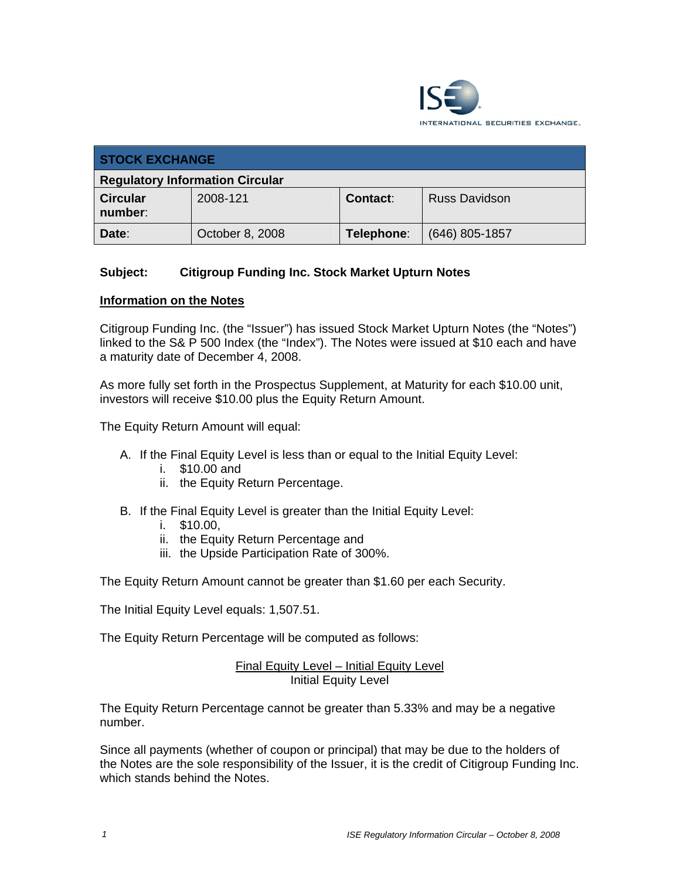

| <b>STOCK EXCHANGE</b>                  |                 |            |                      |
|----------------------------------------|-----------------|------------|----------------------|
| <b>Regulatory Information Circular</b> |                 |            |                      |
| <b>Circular</b><br>number:             | 2008-121        | Contact:   | <b>Russ Davidson</b> |
| Date:                                  | October 8, 2008 | Telephone: | $(646)$ 805-1857     |

### **Subject: Citigroup Funding Inc. Stock Market Upturn Notes**

#### **Information on the Notes**

Citigroup Funding Inc. (the "Issuer") has issued Stock Market Upturn Notes (the "Notes") linked to the S& P 500 Index (the "Index"). The Notes were issued at \$10 each and have a maturity date of December 4, 2008.

As more fully set forth in the Prospectus Supplement, at Maturity for each \$10.00 unit, investors will receive \$10.00 plus the Equity Return Amount.

The Equity Return Amount will equal:

- A. If the Final Equity Level is less than or equal to the Initial Equity Level:
	- i. \$10.00 and
	- ii. the Equity Return Percentage.
- B. If the Final Equity Level is greater than the Initial Equity Level:
	- i. \$10.00,
	- ii. the Equity Return Percentage and
	- iii. the Upside Participation Rate of 300%.

The Equity Return Amount cannot be greater than \$1.60 per each Security.

The Initial Equity Level equals: 1,507.51.

The Equity Return Percentage will be computed as follows:

Final Equity Level – Initial Equity Level Initial Equity Level

The Equity Return Percentage cannot be greater than 5.33% and may be a negative number.

Since all payments (whether of coupon or principal) that may be due to the holders of the Notes are the sole responsibility of the Issuer, it is the credit of Citigroup Funding Inc. which stands behind the Notes.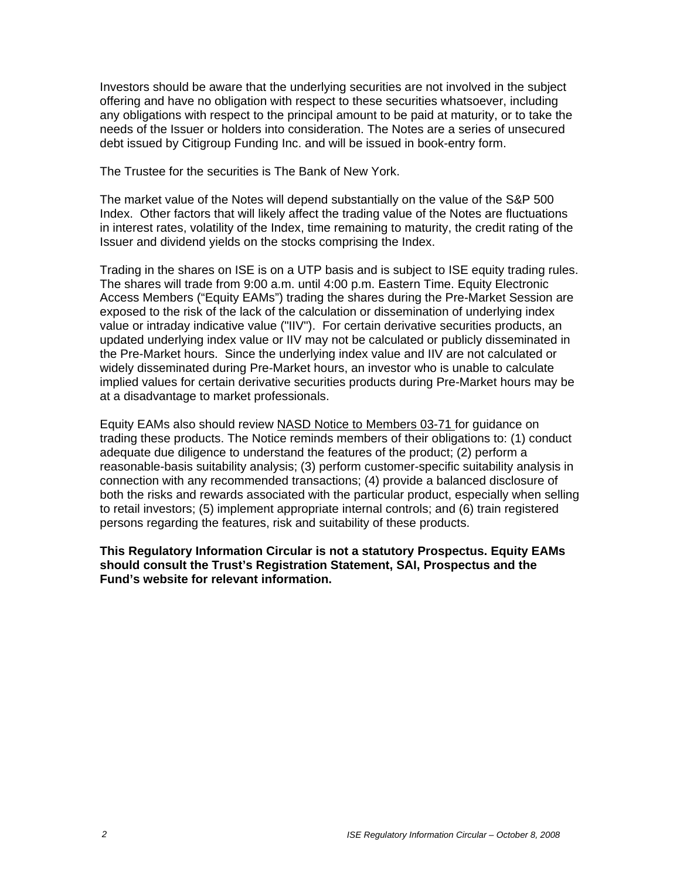Investors should be aware that the underlying securities are not involved in the subject offering and have no obligation with respect to these securities whatsoever, including any obligations with respect to the principal amount to be paid at maturity, or to take the needs of the Issuer or holders into consideration. The Notes are a series of unsecured debt issued by Citigroup Funding Inc. and will be issued in book-entry form.

The Trustee for the securities is The Bank of New York.

The market value of the Notes will depend substantially on the value of the S&P 500 Index. Other factors that will likely affect the trading value of the Notes are fluctuations in interest rates, volatility of the Index, time remaining to maturity, the credit rating of the Issuer and dividend yields on the stocks comprising the Index.

Trading in the shares on ISE is on a UTP basis and is subject to ISE equity trading rules. The shares will trade from 9:00 a.m. until 4:00 p.m. Eastern Time. Equity Electronic Access Members ("Equity EAMs") trading the shares during the Pre-Market Session are exposed to the risk of the lack of the calculation or dissemination of underlying index value or intraday indicative value ("IIV"). For certain derivative securities products, an updated underlying index value or IIV may not be calculated or publicly disseminated in the Pre-Market hours. Since the underlying index value and IIV are not calculated or widely disseminated during Pre-Market hours, an investor who is unable to calculate implied values for certain derivative securities products during Pre-Market hours may be at a disadvantage to market professionals.

Equity EAMs also should review NASD Notice to Members 03-71 for guidance on trading these products. The Notice reminds members of their obligations to: (1) conduct adequate due diligence to understand the features of the product; (2) perform a reasonable-basis suitability analysis; (3) perform customer-specific suitability analysis in connection with any recommended transactions; (4) provide a balanced disclosure of both the risks and rewards associated with the particular product, especially when selling to retail investors; (5) implement appropriate internal controls; and (6) train registered persons regarding the features, risk and suitability of these products.

**This Regulatory Information Circular is not a statutory Prospectus. Equity EAMs should consult the Trust's Registration Statement, SAI, Prospectus and the Fund's website for relevant information.**